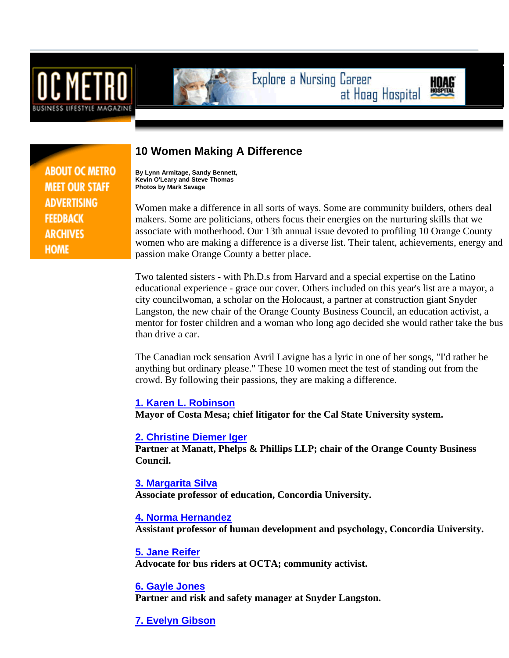



Explore a Nursing Career at Hoag Hospital

**ABOUT OC METRO MEET OUR STAFF ADVERTISING FEEDBACK ARCHIVES HOME** 

# **10 Women Making A Difference**

**By Lynn Armitage, Sandy Bennett, Kevin O'Leary and Steve Thomas Photos by Mark Savage**

Women make a difference in all sorts of ways. Some are community builders, others deal makers. Some are politicians, others focus their energies on the nurturing skills that we associate with motherhood. Our 13th annual issue devoted to profiling 10 Orange County women who are making a difference is a diverse list. Their talent, achievements, energy and passion make Orange County a better place.

Two talented sisters - with Ph.D.s from Harvard and a special expertise on the Latino educational experience - grace our cover. Others included on this year's list are a mayor, a city councilwoman, a scholar on the Holocaust, a partner at construction giant Snyder Langston, the new chair of the Orange County Business Council, an education activist, a mentor for foster children and a woman who long ago decided she would rather take the bus than drive a car.

The Canadian rock sensation Avril Lavigne has a lyric in one of her songs, "I'd rather be anything but ordinary please." These 10 women meet the test of standing out from the crowd. By following their passions, they are making a difference.

## **1. Karen L. Robinson**

**Mayor of Costa Mesa; chief litigator for the Cal State University system.** 

## **2. Christine Diemer Iger**

**Partner at Manatt, Phelps & Phillips LLP; chair of the Orange County Business Council.** 

#### **3. Margarita Silva**

**Associate professor of education, Concordia University.** 

## **4. Norma Hernandez**

**Assistant professor of human development and psychology, Concordia University.** 

## **5. Jane Reifer**

**Advocate for bus riders at OCTA; community activist.** 

## **6. Gayle Jones**

**Partner and risk and safety manager at Snyder Langston.** 

**7. Evelyn Gibson**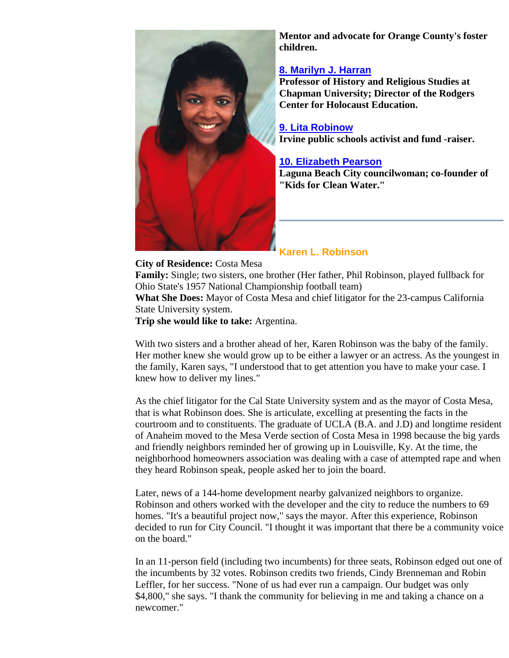

**Mentor and advocate for Orange County's foster children.** 

## **8. Marilyn J. Harran**

**Professor of History and Religious Studies at Chapman University; Director of the Rodgers Center for Holocaust Education.** 

#### **9. Lita Robinow Irvine public schools activist and fund -raiser.**

# **10. Elizabeth Pearson**

**Laguna Beach City councilwoman; co-founder of "Kids for Clean Water."** 

# **Karen L. Robinson**

**City of Residence:** Costa Mesa **Family:** Single; two sisters, one brother (Her father, Phil Robinson, played fullback for Ohio State's 1957 National Championship football team) **What She Does:** Mayor of Costa Mesa and chief litigator for the 23-campus California State University system.

**Trip she would like to take:** Argentina.

With two sisters and a brother ahead of her, Karen Robinson was the baby of the family. Her mother knew she would grow up to be either a lawyer or an actress. As the youngest in the family, Karen says, "I understood that to get attention you have to make your case. I knew how to deliver my lines."

As the chief litigator for the Cal State University system and as the mayor of Costa Mesa, that is what Robinson does. She is articulate, excelling at presenting the facts in the courtroom and to constituents. The graduate of UCLA (B.A. and J.D) and longtime resident of Anaheim moved to the Mesa Verde section of Costa Mesa in 1998 because the big yards and friendly neighbors reminded her of growing up in Louisville, Ky. At the time, the neighborhood homeowners association was dealing with a case of attempted rape and when they heard Robinson speak, people asked her to join the board.

Later, news of a 144-home development nearby galvanized neighbors to organize. Robinson and others worked with the developer and the city to reduce the numbers to 69 homes. "It's a beautiful project now," says the mayor. After this experience, Robinson decided to run for City Council. "I thought it was important that there be a community voice on the board."

In an 11-person field (including two incumbents) for three seats, Robinson edged out one of the incumbents by 32 votes. Robinson credits two friends, Cindy Brenneman and Robin Leffler, for her success. "None of us had ever run a campaign. Our budget was only \$4,800," she says. "I thank the community for believing in me and taking a chance on a newcomer."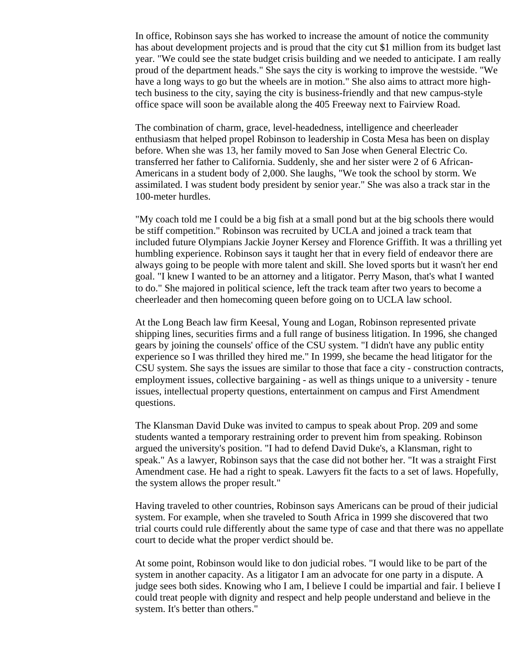In office, Robinson says she has worked to increase the amount of notice the community has about development projects and is proud that the city cut \$1 million from its budget last year. "We could see the state budget crisis building and we needed to anticipate. I am really proud of the department heads." She says the city is working to improve the westside. "We have a long ways to go but the wheels are in motion." She also aims to attract more hightech business to the city, saying the city is business-friendly and that new campus-style office space will soon be available along the 405 Freeway next to Fairview Road.

The combination of charm, grace, level-headedness, intelligence and cheerleader enthusiasm that helped propel Robinson to leadership in Costa Mesa has been on display before. When she was 13, her family moved to San Jose when General Electric Co. transferred her father to California. Suddenly, she and her sister were 2 of 6 African-Americans in a student body of 2,000. She laughs, "We took the school by storm. We assimilated. I was student body president by senior year." She was also a track star in the 100-meter hurdles.

"My coach told me I could be a big fish at a small pond but at the big schools there would be stiff competition." Robinson was recruited by UCLA and joined a track team that included future Olympians Jackie Joyner Kersey and Florence Griffith. It was a thrilling yet humbling experience. Robinson says it taught her that in every field of endeavor there are always going to be people with more talent and skill. She loved sports but it wasn't her end goal. "I knew I wanted to be an attorney and a litigator. Perry Mason, that's what I wanted to do." She majored in political science, left the track team after two years to become a cheerleader and then homecoming queen before going on to UCLA law school.

At the Long Beach law firm Keesal, Young and Logan, Robinson represented private shipping lines, securities firms and a full range of business litigation. In 1996, she changed gears by joining the counsels' office of the CSU system. "I didn't have any public entity experience so I was thrilled they hired me." In 1999, she became the head litigator for the CSU system. She says the issues are similar to those that face a city - construction contracts, employment issues, collective bargaining - as well as things unique to a university - tenure issues, intellectual property questions, entertainment on campus and First Amendment questions.

The Klansman David Duke was invited to campus to speak about Prop. 209 and some students wanted a temporary restraining order to prevent him from speaking. Robinson argued the university's position. "I had to defend David Duke's, a Klansman, right to speak." As a lawyer, Robinson says that the case did not bother her. "It was a straight First Amendment case. He had a right to speak. Lawyers fit the facts to a set of laws. Hopefully, the system allows the proper result."

Having traveled to other countries, Robinson says Americans can be proud of their judicial system. For example, when she traveled to South Africa in 1999 she discovered that two trial courts could rule differently about the same type of case and that there was no appellate court to decide what the proper verdict should be.

At some point, Robinson would like to don judicial robes. "I would like to be part of the system in another capacity. As a litigator I am an advocate for one party in a dispute. A judge sees both sides. Knowing who I am, I believe I could be impartial and fair. I believe I could treat people with dignity and respect and help people understand and believe in the system. It's better than others."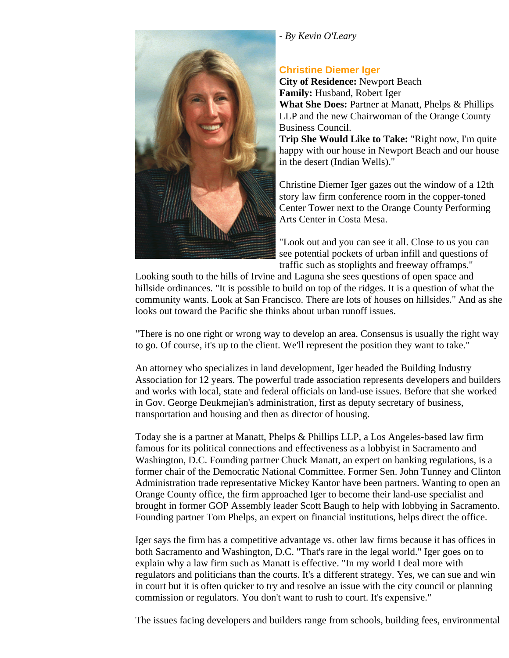#### *- By Kevin O'Leary*



# **Christine Diemer Iger**

**City of Residence:** Newport Beach **Family:** Husband, Robert Iger **What She Does:** Partner at Manatt, Phelps & Phillips LLP and the new Chairwoman of the Orange County Business Council. **Trip She Would Like to Take:** "Right now, I'm quite

happy with our house in Newport Beach and our house in the desert (Indian Wells)."

Christine Diemer Iger gazes out the window of a 12th story law firm conference room in the copper-toned Center Tower next to the Orange County Performing Arts Center in Costa Mesa.

"Look out and you can see it all. Close to us you can see potential pockets of urban infill and questions of traffic such as stoplights and freeway offramps."

Looking south to the hills of Irvine and Laguna she sees questions of open space and hillside ordinances. "It is possible to build on top of the ridges. It is a question of what the community wants. Look at San Francisco. There are lots of houses on hillsides." And as she looks out toward the Pacific she thinks about urban runoff issues.

"There is no one right or wrong way to develop an area. Consensus is usually the right way to go. Of course, it's up to the client. We'll represent the position they want to take."

An attorney who specializes in land development, Iger headed the Building Industry Association for 12 years. The powerful trade association represents developers and builders and works with local, state and federal officials on land-use issues. Before that she worked in Gov. George Deukmejian's administration, first as deputy secretary of business, transportation and housing and then as director of housing.

Today she is a partner at Manatt, Phelps & Phillips LLP, a Los Angeles-based law firm famous for its political connections and effectiveness as a lobbyist in Sacramento and Washington, D.C. Founding partner Chuck Manatt, an expert on banking regulations, is a former chair of the Democratic National Committee. Former Sen. John Tunney and Clinton Administration trade representative Mickey Kantor have been partners. Wanting to open an Orange County office, the firm approached Iger to become their land-use specialist and brought in former GOP Assembly leader Scott Baugh to help with lobbying in Sacramento. Founding partner Tom Phelps, an expert on financial institutions, helps direct the office.

Iger says the firm has a competitive advantage vs. other law firms because it has offices in both Sacramento and Washington, D.C. "That's rare in the legal world." Iger goes on to explain why a law firm such as Manatt is effective. "In my world I deal more with regulators and politicians than the courts. It's a different strategy. Yes, we can sue and win in court but it is often quicker to try and resolve an issue with the city council or planning commission or regulators. You don't want to rush to court. It's expensive."

The issues facing developers and builders range from schools, building fees, environmental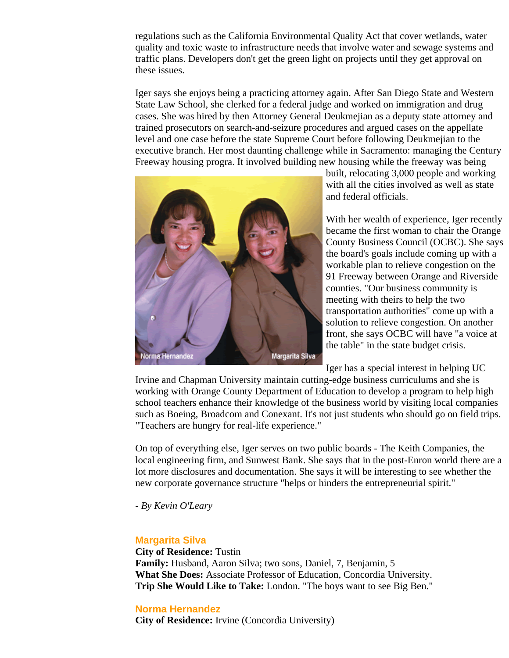regulations such as the California Environmental Quality Act that cover wetlands, water quality and toxic waste to infrastructure needs that involve water and sewage systems and traffic plans. Developers don't get the green light on projects until they get approval on these issues.

Iger says she enjoys being a practicing attorney again. After San Diego State and Western State Law School, she clerked for a federal judge and worked on immigration and drug cases. She was hired by then Attorney General Deukmejian as a deputy state attorney and trained prosecutors on search-and-seizure procedures and argued cases on the appellate level and one case before the state Supreme Court before following Deukmejian to the executive branch. Her most daunting challenge while in Sacramento: managing the Century Freeway housing progra. It involved building new housing while the freeway was being



built, relocating 3,000 people and working with all the cities involved as well as state and federal officials.

With her wealth of experience, Iger recently became the first woman to chair the Orange County Business Council (OCBC). She says the board's goals include coming up with a workable plan to relieve congestion on the 91 Freeway between Orange and Riverside counties. "Our business community is meeting with theirs to help the two transportation authorities" come up with a solution to relieve congestion. On another front, she says OCBC will have "a voice at the table" in the state budget crisis.

Iger has a special interest in helping UC

Irvine and Chapman University maintain cutting-edge business curriculums and she is working with Orange County Department of Education to develop a program to help high school teachers enhance their knowledge of the business world by visiting local companies such as Boeing, Broadcom and Conexant. It's not just students who should go on field trips. "Teachers are hungry for real-life experience."

On top of everything else, Iger serves on two public boards - The Keith Companies, the local engineering firm, and Sunwest Bank. She says that in the post-Enron world there are a lot more disclosures and documentation. She says it will be interesting to see whether the new corporate governance structure "helps or hinders the entrepreneurial spirit."

*- By Kevin O'Leary*

# **Margarita Silva**

**City of Residence:** Tustin **Family:** Husband, Aaron Silva; two sons, Daniel, 7, Benjamin, 5 **What She Does:** Associate Professor of Education, Concordia University. **Trip She Would Like to Take:** London. "The boys want to see Big Ben."

#### **Norma Hernandez**

**City of Residence:** Irvine (Concordia University)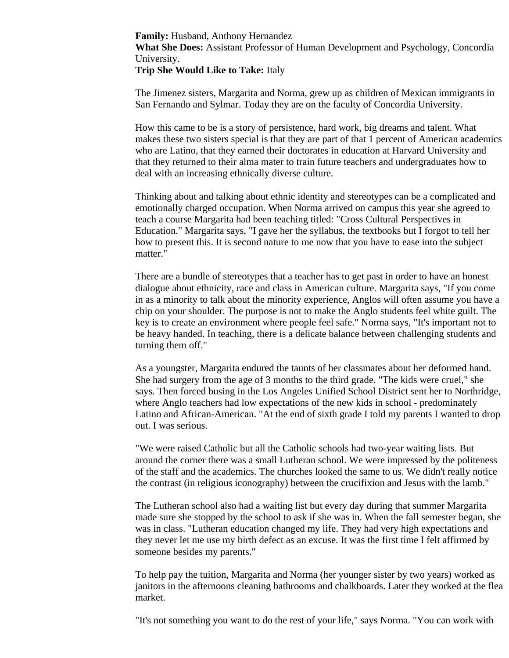**Family:** Husband, Anthony Hernandez

**What She Does:** Assistant Professor of Human Development and Psychology, Concordia University.

**Trip She Would Like to Take:** Italy

The Jimenez sisters, Margarita and Norma, grew up as children of Mexican immigrants in San Fernando and Sylmar. Today they are on the faculty of Concordia University.

How this came to be is a story of persistence, hard work, big dreams and talent. What makes these two sisters special is that they are part of that 1 percent of American academics who are Latino, that they earned their doctorates in education at Harvard University and that they returned to their alma mater to train future teachers and undergraduates how to deal with an increasing ethnically diverse culture.

Thinking about and talking about ethnic identity and stereotypes can be a complicated and emotionally charged occupation. When Norma arrived on campus this year she agreed to teach a course Margarita had been teaching titled: "Cross Cultural Perspectives in Education." Margarita says, "I gave her the syllabus, the textbooks but I forgot to tell her how to present this. It is second nature to me now that you have to ease into the subject matter."

There are a bundle of stereotypes that a teacher has to get past in order to have an honest dialogue about ethnicity, race and class in American culture. Margarita says, "If you come in as a minority to talk about the minority experience, Anglos will often assume you have a chip on your shoulder. The purpose is not to make the Anglo students feel white guilt. The key is to create an environment where people feel safe." Norma says, "It's important not to be heavy handed. In teaching, there is a delicate balance between challenging students and turning them off."

As a youngster, Margarita endured the taunts of her classmates about her deformed hand. She had surgery from the age of 3 months to the third grade. "The kids were cruel," she says. Then forced busing in the Los Angeles Unified School District sent her to Northridge, where Anglo teachers had low expectations of the new kids in school - predominately Latino and African-American. "At the end of sixth grade I told my parents I wanted to drop out. I was serious.

"We were raised Catholic but all the Catholic schools had two-year waiting lists. But around the corner there was a small Lutheran school. We were impressed by the politeness of the staff and the academics. The churches looked the same to us. We didn't really notice the contrast (in religious iconography) between the crucifixion and Jesus with the lamb."

The Lutheran school also had a waiting list but every day during that summer Margarita made sure she stopped by the school to ask if she was in. When the fall semester began, she was in class. "Lutheran education changed my life. They had very high expectations and they never let me use my birth defect as an excuse. It was the first time I felt affirmed by someone besides my parents."

To help pay the tuition, Margarita and Norma (her younger sister by two years) worked as janitors in the afternoons cleaning bathrooms and chalkboards. Later they worked at the flea market.

"It's not something you want to do the rest of your life," says Norma. "You can work with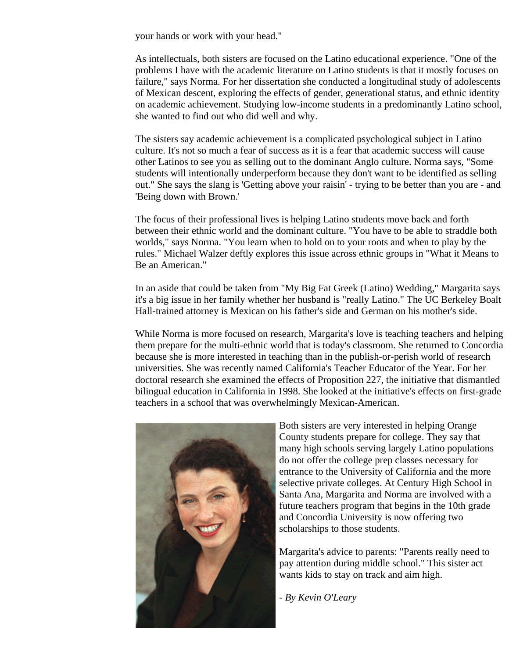your hands or work with your head."

As intellectuals, both sisters are focused on the Latino educational experience. "One of the problems I have with the academic literature on Latino students is that it mostly focuses on failure," says Norma. For her dissertation she conducted a longitudinal study of adolescents of Mexican descent, exploring the effects of gender, generational status, and ethnic identity on academic achievement. Studying low-income students in a predominantly Latino school, she wanted to find out who did well and why.

The sisters say academic achievement is a complicated psychological subject in Latino culture. It's not so much a fear of success as it is a fear that academic success will cause other Latinos to see you as selling out to the dominant Anglo culture. Norma says, "Some students will intentionally underperform because they don't want to be identified as selling out." She says the slang is 'Getting above your raisin' - trying to be better than you are - and 'Being down with Brown.'

The focus of their professional lives is helping Latino students move back and forth between their ethnic world and the dominant culture. "You have to be able to straddle both worlds," says Norma. "You learn when to hold on to your roots and when to play by the rules." Michael Walzer deftly explores this issue across ethnic groups in "What it Means to Be an American."

In an aside that could be taken from "My Big Fat Greek (Latino) Wedding," Margarita says it's a big issue in her family whether her husband is "really Latino." The UC Berkeley Boalt Hall-trained attorney is Mexican on his father's side and German on his mother's side.

While Norma is more focused on research, Margarita's love is teaching teachers and helping them prepare for the multi-ethnic world that is today's classroom. She returned to Concordia because she is more interested in teaching than in the publish-or-perish world of research universities. She was recently named California's Teacher Educator of the Year. For her doctoral research she examined the effects of Proposition 227, the initiative that dismantled bilingual education in California in 1998. She looked at the initiative's effects on first-grade teachers in a school that was overwhelmingly Mexican-American.



Both sisters are very interested in helping Orange County students prepare for college. They say that many high schools serving largely Latino populations do not offer the college prep classes necessary for entrance to the University of California and the more selective private colleges. At Century High School in Santa Ana, Margarita and Norma are involved with a future teachers program that begins in the 10th grade and Concordia University is now offering two scholarships to those students.

Margarita's advice to parents: "Parents really need to pay attention during middle school." This sister act wants kids to stay on track and aim high.

*- By Kevin O'Leary*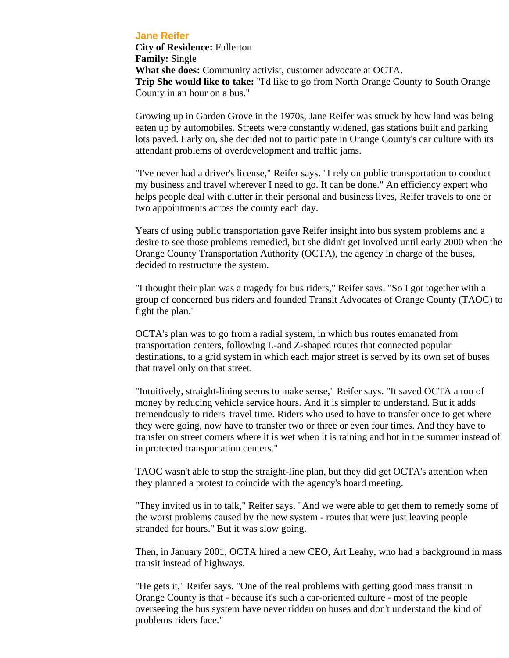#### **Jane Reifer**

**City of Residence:** Fullerton **Family:** Single **What she does:** Community activist, customer advocate at OCTA. **Trip She would like to take:** "I'd like to go from North Orange County to South Orange County in an hour on a bus."

Growing up in Garden Grove in the 1970s, Jane Reifer was struck by how land was being eaten up by automobiles. Streets were constantly widened, gas stations built and parking lots paved. Early on, she decided not to participate in Orange County's car culture with its attendant problems of overdevelopment and traffic jams.

"I've never had a driver's license," Reifer says. "I rely on public transportation to conduct my business and travel wherever I need to go. It can be done." An efficiency expert who helps people deal with clutter in their personal and business lives, Reifer travels to one or two appointments across the county each day.

Years of using public transportation gave Reifer insight into bus system problems and a desire to see those problems remedied, but she didn't get involved until early 2000 when the Orange County Transportation Authority (OCTA), the agency in charge of the buses, decided to restructure the system.

"I thought their plan was a tragedy for bus riders," Reifer says. "So I got together with a group of concerned bus riders and founded Transit Advocates of Orange County (TAOC) to fight the plan."

OCTA's plan was to go from a radial system, in which bus routes emanated from transportation centers, following L-and Z-shaped routes that connected popular destinations, to a grid system in which each major street is served by its own set of buses that travel only on that street.

"Intuitively, straight-lining seems to make sense," Reifer says. "It saved OCTA a ton of money by reducing vehicle service hours. And it is simpler to understand. But it adds tremendously to riders' travel time. Riders who used to have to transfer once to get where they were going, now have to transfer two or three or even four times. And they have to transfer on street corners where it is wet when it is raining and hot in the summer instead of in protected transportation centers."

TAOC wasn't able to stop the straight-line plan, but they did get OCTA's attention when they planned a protest to coincide with the agency's board meeting.

"They invited us in to talk," Reifer says. "And we were able to get them to remedy some of the worst problems caused by the new system - routes that were just leaving people stranded for hours." But it was slow going.

Then, in January 2001, OCTA hired a new CEO, Art Leahy, who had a background in mass transit instead of highways.

"He gets it," Reifer says. "One of the real problems with getting good mass transit in Orange County is that - because it's such a car-oriented culture - most of the people overseeing the bus system have never ridden on buses and don't understand the kind of problems riders face."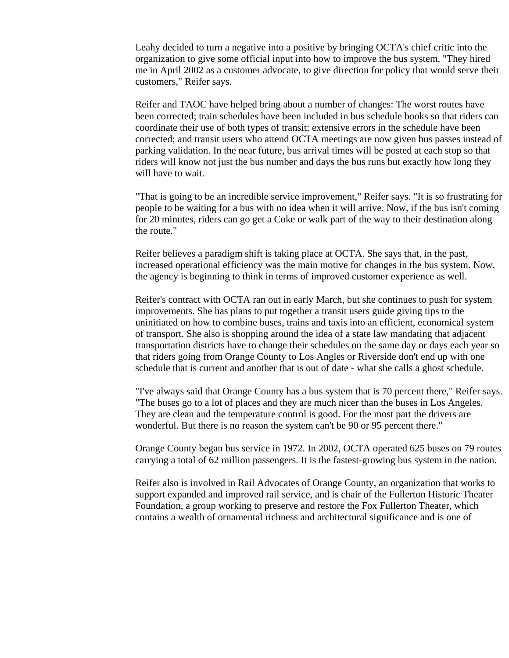Leahy decided to turn a negative into a positive by bringing OCTA's chief critic into the organization to give some official input into how to improve the bus system. "They hired me in April 2002 as a customer advocate, to give direction for policy that would serve their customers," Reifer says.

Reifer and TAOC have helped bring about a number of changes: The worst routes have been corrected; train schedules have been included in bus schedule books so that riders can coordinate their use of both types of transit; extensive errors in the schedule have been corrected; and transit users who attend OCTA meetings are now given bus passes instead of parking validation. In the near future, bus arrival times will be posted at each stop so that riders will know not just the bus number and days the bus runs but exactly how long they will have to wait.

"That is going to be an incredible service improvement," Reifer says. "It is so frustrating for people to be waiting for a bus with no idea when it will arrive. Now, if the bus isn't coming for 20 minutes, riders can go get a Coke or walk part of the way to their destination along the route."

Reifer believes a paradigm shift is taking place at OCTA. She says that, in the past, increased operational efficiency was the main motive for changes in the bus system. Now, the agency is beginning to think in terms of improved customer experience as well.

Reifer's contract with OCTA ran out in early March, but she continues to push for system improvements. She has plans to put together a transit users guide giving tips to the uninitiated on how to combine buses, trains and taxis into an efficient, economical system of transport. She also is shopping around the idea of a state law mandating that adjacent transportation districts have to change their schedules on the same day or days each year so that riders going from Orange County to Los Angles or Riverside don't end up with one schedule that is current and another that is out of date - what she calls a ghost schedule.

"I've always said that Orange County has a bus system that is 70 percent there," Reifer says. "The buses go to a lot of places and they are much nicer than the buses in Los Angeles. They are clean and the temperature control is good. For the most part the drivers are wonderful. But there is no reason the system can't be 90 or 95 percent there."

Orange County began bus service in 1972. In 2002, OCTA operated 625 buses on 79 routes carrying a total of 62 million passengers. It is the fastest-growing bus system in the nation.

Reifer also is involved in Rail Advocates of Orange County, an organization that works to support expanded and improved rail service, and is chair of the Fullerton Historic Theater Foundation, a group working to preserve and restore the Fox Fullerton Theater, which contains a wealth of ornamental richness and architectural significance and is one of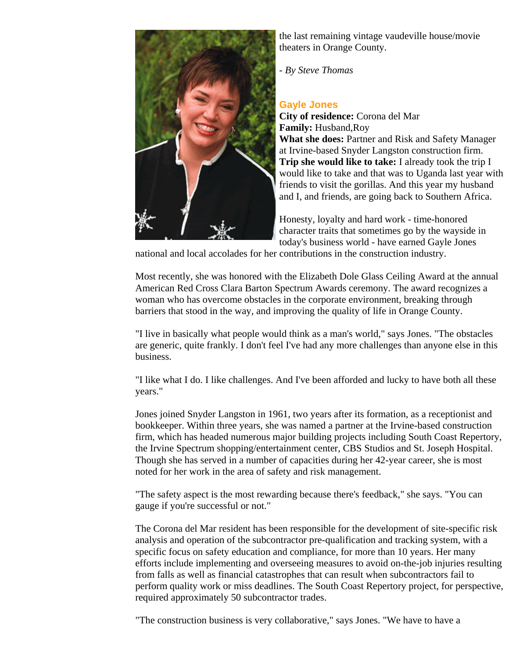

the last remaining vintage vaudeville house/movie theaters in Orange County.

*- By Steve Thomas*

# **Gayle Jones**

**City of residence:** Corona del Mar **Family:** Husband,Roy **What she does:** Partner and Risk and Safety Manager at Irvine-based Snyder Langston construction firm. **Trip she would like to take:** I already took the trip I would like to take and that was to Uganda last year with friends to visit the gorillas. And this year my husband and I, and friends, are going back to Southern Africa.

Honesty, loyalty and hard work - time-honored character traits that sometimes go by the wayside in today's business world - have earned Gayle Jones

national and local accolades for her contributions in the construction industry.

Most recently, she was honored with the Elizabeth Dole Glass Ceiling Award at the annual American Red Cross Clara Barton Spectrum Awards ceremony. The award recognizes a woman who has overcome obstacles in the corporate environment, breaking through barriers that stood in the way, and improving the quality of life in Orange County.

"I live in basically what people would think as a man's world," says Jones. "The obstacles are generic, quite frankly. I don't feel I've had any more challenges than anyone else in this business.

"I like what I do. I like challenges. And I've been afforded and lucky to have both all these years."

Jones joined Snyder Langston in 1961, two years after its formation, as a receptionist and bookkeeper. Within three years, she was named a partner at the Irvine-based construction firm, which has headed numerous major building projects including South Coast Repertory, the Irvine Spectrum shopping/entertainment center, CBS Studios and St. Joseph Hospital. Though she has served in a number of capacities during her 42-year career, she is most noted for her work in the area of safety and risk management.

"The safety aspect is the most rewarding because there's feedback," she says. "You can gauge if you're successful or not."

The Corona del Mar resident has been responsible for the development of site-specific risk analysis and operation of the subcontractor pre-qualification and tracking system, with a specific focus on safety education and compliance, for more than 10 years. Her many efforts include implementing and overseeing measures to avoid on-the-job injuries resulting from falls as well as financial catastrophes that can result when subcontractors fail to perform quality work or miss deadlines. The South Coast Repertory project, for perspective, required approximately 50 subcontractor trades.

"The construction business is very collaborative," says Jones. "We have to have a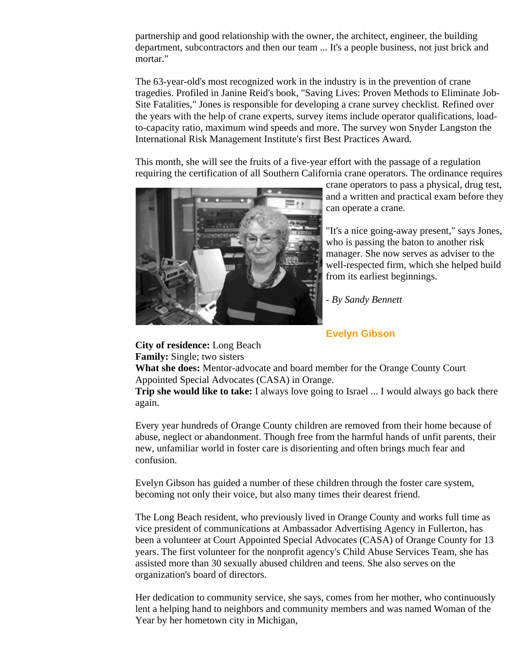partnership and good relationship with the owner, the architect, engineer, the building department, subcontractors and then our team ... It's a people business, not just brick and mortar."

The 63-year-old's most recognized work in the industry is in the prevention of crane tragedies. Profiled in Janine Reid's book, "Saving Lives: Proven Methods to Eliminate Job-Site Fatalities," Jones is responsible for developing a crane survey checklist. Refined over the years with the help of crane experts, survey items include operator qualifications, loadto-capacity ratio, maximum wind speeds and more. The survey won Snyder Langston the International Risk Management Institute's first Best Practices Award.

This month, she will see the fruits of a five-year effort with the passage of a regulation requiring the certification of all Southern California crane operators. The ordinance requires



crane operators to pass a physical, drug test, and a written and practical exam before they can operate a crane.

"It's a nice going-away present," says Jones, who is passing the baton to another risk manager. She now serves as adviser to the well-respected firm, which she helped build from its earliest beginnings.

*- By Sandy Bennett*

## **Evelyn Gibson**

**City of residence:** Long Beach **Family:** Single; two sisters

**What she does:** Mentor-advocate and board member for the Orange County Court Appointed Special Advocates (CASA) in Orange.

**Trip she would like to take:** I always love going to Israel ... I would always go back there again.

Every year hundreds of Orange County children are removed from their home because of abuse, neglect or abandonment. Though free from the harmful hands of unfit parents, their new, unfamiliar world in foster care is disorienting and often brings much fear and confusion.

Evelyn Gibson has guided a number of these children through the foster care system, becoming not only their voice, but also many times their dearest friend.

The Long Beach resident, who previously lived in Orange County and works full time as vice president of communications at Ambassador Advertising Agency in Fullerton, has been a volunteer at Court Appointed Special Advocates (CASA) of Orange County for 13 years. The first volunteer for the nonprofit agency's Child Abuse Services Team, she has assisted more than 30 sexually abused children and teens. She also serves on the organization's board of directors.

Her dedication to community service, she says, comes from her mother, who continuously lent a helping hand to neighbors and community members and was named Woman of the Year by her hometown city in Michigan,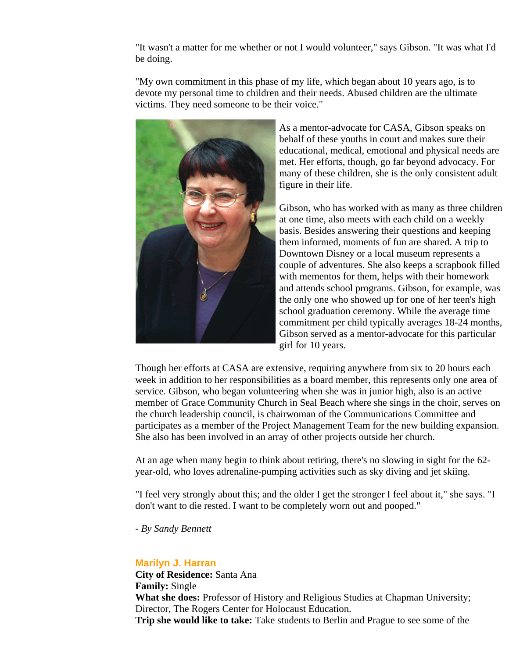"It wasn't a matter for me whether or not I would volunteer," says Gibson. "It was what I'd be doing.

"My own commitment in this phase of my life, which began about 10 years ago, is to devote my personal time to children and their needs. Abused children are the ultimate victims. They need someone to be their voice."



As a mentor-advocate for CASA, Gibson speaks on behalf of these youths in court and makes sure their educational, medical, emotional and physical needs are met. Her efforts, though, go far beyond advocacy. For many of these children, she is the only consistent adult figure in their life.

Gibson, who has worked with as many as three children at one time, also meets with each child on a weekly basis. Besides answering their questions and keeping them informed, moments of fun are shared. A trip to Downtown Disney or a local museum represents a couple of adventures. She also keeps a scrapbook filled with mementos for them, helps with their homework and attends school programs. Gibson, for example, was the only one who showed up for one of her teen's high school graduation ceremony. While the average time commitment per child typically averages 18-24 months, Gibson served as a mentor-advocate for this particular girl for 10 years.

Though her efforts at CASA are extensive, requiring anywhere from six to 20 hours each week in addition to her responsibilities as a board member, this represents only one area of service. Gibson, who began volunteering when she was in junior high, also is an active member of Grace Community Church in Seal Beach where she sings in the choir, serves on the church leadership council, is chairwoman of the Communications Committee and participates as a member of the Project Management Team for the new building expansion. She also has been involved in an array of other projects outside her church.

At an age when many begin to think about retiring, there's no slowing in sight for the 62 year-old, who loves adrenaline-pumping activities such as sky diving and jet skiing.

"I feel very strongly about this; and the older I get the stronger I feel about it," she says. "I don't want to die rested. I want to be completely worn out and pooped."

*- By Sandy Bennett* 

# **Marilyn J. Harran**

**City of Residence:** Santa Ana **Family:** Single **What she does:** Professor of History and Religious Studies at Chapman University; Director, The Rogers Center for Holocaust Education. **Trip she would like to take:** Take students to Berlin and Prague to see some of the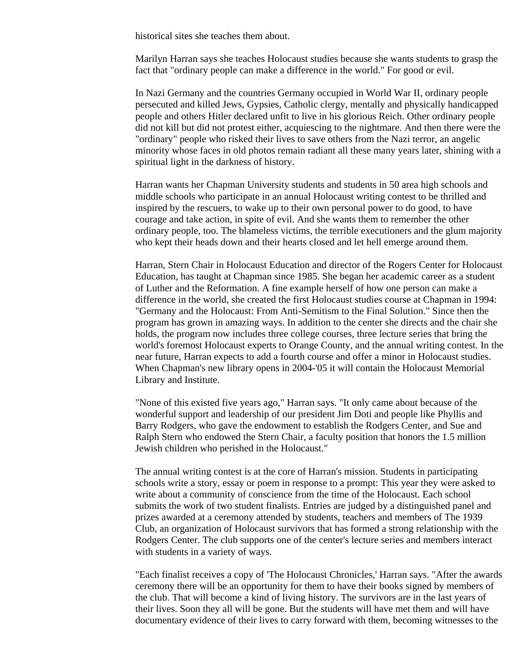historical sites she teaches them about.

Marilyn Harran says she teaches Holocaust studies because she wants students to grasp the fact that "ordinary people can make a difference in the world." For good or evil.

In Nazi Germany and the countries Germany occupied in World War II, ordinary people persecuted and killed Jews, Gypsies, Catholic clergy, mentally and physically handicapped people and others Hitler declared unfit to live in his glorious Reich. Other ordinary people did not kill but did not protest either, acquiescing to the nightmare. And then there were the "ordinary" people who risked their lives to save others from the Nazi terror, an angelic minority whose faces in old photos remain radiant all these many years later, shining with a spiritual light in the darkness of history.

Harran wants her Chapman University students and students in 50 area high schools and middle schools who participate in an annual Holocaust writing contest to be thrilled and inspired by the rescuers, to wake up to their own personal power to do good, to have courage and take action, in spite of evil. And she wants them to remember the other ordinary people, too. The blameless victims, the terrible executioners and the glum majority who kept their heads down and their hearts closed and let hell emerge around them.

Harran, Stern Chair in Holocaust Education and director of the Rogers Center for Holocaust Education, has taught at Chapman since 1985. She began her academic career as a student of Luther and the Reformation. A fine example herself of how one person can make a difference in the world, she created the first Holocaust studies course at Chapman in 1994: "Germany and the Holocaust: From Anti-Semitism to the Final Solution." Since then the program has grown in amazing ways. In addition to the center she directs and the chair she holds, the program now includes three college courses, three lecture series that bring the world's foremost Holocaust experts to Orange County, and the annual writing contest. In the near future, Harran expects to add a fourth course and offer a minor in Holocaust studies. When Chapman's new library opens in 2004-'05 it will contain the Holocaust Memorial Library and Institute.

"None of this existed five years ago," Harran says. "It only came about because of the wonderful support and leadership of our president Jim Doti and people like Phyllis and Barry Rodgers, who gave the endowment to establish the Rodgers Center, and Sue and Ralph Stern who endowed the Stern Chair, a faculty position that honors the 1.5 million Jewish children who perished in the Holocaust."

The annual writing contest is at the core of Harran's mission. Students in participating schools write a story, essay or poem in response to a prompt: This year they were asked to write about a community of conscience from the time of the Holocaust. Each school submits the work of two student finalists. Entries are judged by a distinguished panel and prizes awarded at a ceremony attended by students, teachers and members of The 1939 Club, an organization of Holocaust survivors that has formed a strong relationship with the Rodgers Center. The club supports one of the center's lecture series and members interact with students in a variety of ways.

"Each finalist receives a copy of 'The Holocaust Chronicles,' Harran says. "After the awards ceremony there will be an opportunity for them to have their books signed by members of the club. That will become a kind of living history. The survivors are in the last years of their lives. Soon they all will be gone. But the students will have met them and will have documentary evidence of their lives to carry forward with them, becoming witnesses to the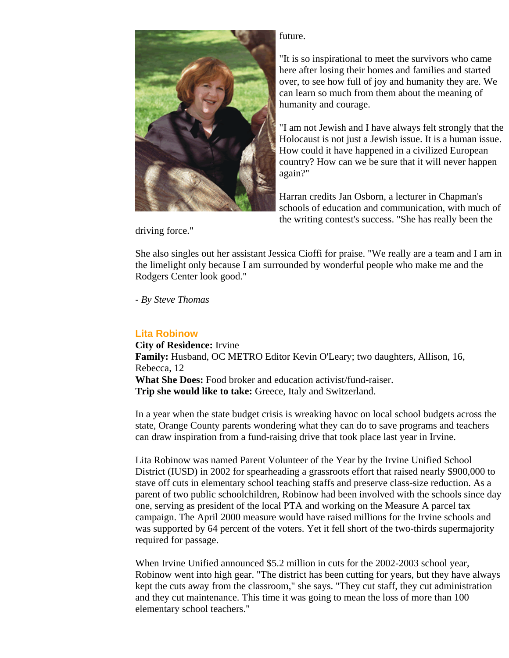

## future.

"It is so inspirational to meet the survivors who came here after losing their homes and families and started over, to see how full of joy and humanity they are. We can learn so much from them about the meaning of humanity and courage.

"I am not Jewish and I have always felt strongly that the Holocaust is not just a Jewish issue. It is a human issue. How could it have happened in a civilized European country? How can we be sure that it will never happen again?"

Harran credits Jan Osborn, a lecturer in Chapman's schools of education and communication, with much of the writing contest's success. "She has really been the

driving force."

She also singles out her assistant Jessica Cioffi for praise. "We really are a team and I am in the limelight only because I am surrounded by wonderful people who make me and the Rodgers Center look good."

*- By Steve Thomas*

# **Lita Robinow**

**City of Residence:** Irvine **Family:** Husband, OC METRO Editor Kevin O'Leary; two daughters, Allison, 16, Rebecca, 12 **What She Does:** Food broker and education activist/fund-raiser. **Trip she would like to take:** Greece, Italy and Switzerland.

In a year when the state budget crisis is wreaking havoc on local school budgets across the state, Orange County parents wondering what they can do to save programs and teachers can draw inspiration from a fund-raising drive that took place last year in Irvine.

Lita Robinow was named Parent Volunteer of the Year by the Irvine Unified School District (IUSD) in 2002 for spearheading a grassroots effort that raised nearly \$900,000 to stave off cuts in elementary school teaching staffs and preserve class-size reduction. As a parent of two public schoolchildren, Robinow had been involved with the schools since day one, serving as president of the local PTA and working on the Measure A parcel tax campaign. The April 2000 measure would have raised millions for the Irvine schools and was supported by 64 percent of the voters. Yet it fell short of the two-thirds supermajority required for passage.

When Irvine Unified announced \$5.2 million in cuts for the 2002-2003 school year, Robinow went into high gear. "The district has been cutting for years, but they have always kept the cuts away from the classroom," she says. "They cut staff, they cut administration and they cut maintenance. This time it was going to mean the loss of more than 100 elementary school teachers."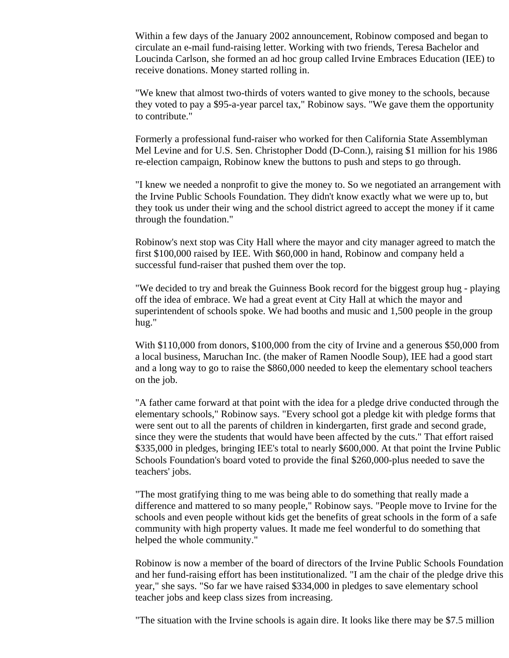Within a few days of the January 2002 announcement, Robinow composed and began to circulate an e-mail fund-raising letter. Working with two friends, Teresa Bachelor and Loucinda Carlson, she formed an ad hoc group called Irvine Embraces Education (IEE) to receive donations. Money started rolling in.

"We knew that almost two-thirds of voters wanted to give money to the schools, because they voted to pay a \$95-a-year parcel tax," Robinow says. "We gave them the opportunity to contribute."

Formerly a professional fund-raiser who worked for then California State Assemblyman Mel Levine and for U.S. Sen. Christopher Dodd (D-Conn.), raising \$1 million for his 1986 re-election campaign, Robinow knew the buttons to push and steps to go through.

"I knew we needed a nonprofit to give the money to. So we negotiated an arrangement with the Irvine Public Schools Foundation. They didn't know exactly what we were up to, but they took us under their wing and the school district agreed to accept the money if it came through the foundation."

Robinow's next stop was City Hall where the mayor and city manager agreed to match the first \$100,000 raised by IEE. With \$60,000 in hand, Robinow and company held a successful fund-raiser that pushed them over the top.

"We decided to try and break the Guinness Book record for the biggest group hug - playing off the idea of embrace. We had a great event at City Hall at which the mayor and superintendent of schools spoke. We had booths and music and 1,500 people in the group hug."

With \$110,000 from donors, \$100,000 from the city of Irvine and a generous \$50,000 from a local business, Maruchan Inc. (the maker of Ramen Noodle Soup), IEE had a good start and a long way to go to raise the \$860,000 needed to keep the elementary school teachers on the job.

"A father came forward at that point with the idea for a pledge drive conducted through the elementary schools," Robinow says. "Every school got a pledge kit with pledge forms that were sent out to all the parents of children in kindergarten, first grade and second grade, since they were the students that would have been affected by the cuts." That effort raised \$335,000 in pledges, bringing IEE's total to nearly \$600,000. At that point the Irvine Public Schools Foundation's board voted to provide the final \$260,000-plus needed to save the teachers' jobs.

"The most gratifying thing to me was being able to do something that really made a difference and mattered to so many people," Robinow says. "People move to Irvine for the schools and even people without kids get the benefits of great schools in the form of a safe community with high property values. It made me feel wonderful to do something that helped the whole community."

Robinow is now a member of the board of directors of the Irvine Public Schools Foundation and her fund-raising effort has been institutionalized. "I am the chair of the pledge drive this year," she says. "So far we have raised \$334,000 in pledges to save elementary school teacher jobs and keep class sizes from increasing.

"The situation with the Irvine schools is again dire. It looks like there may be \$7.5 million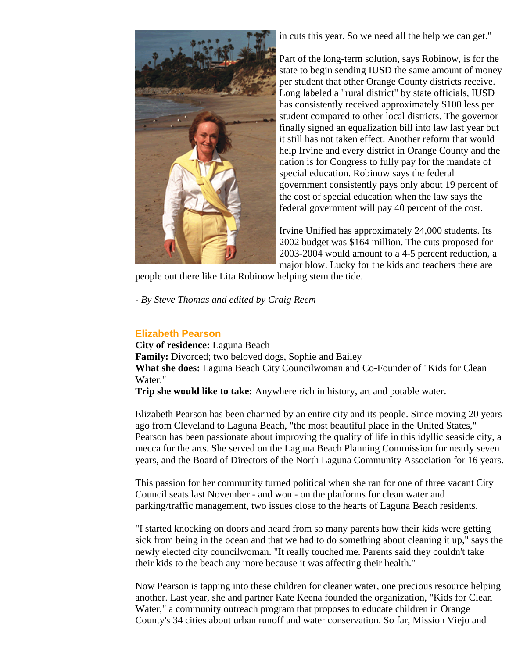

in cuts this year. So we need all the help we can get."

Part of the long-term solution, says Robinow, is for the state to begin sending IUSD the same amount of money per student that other Orange County districts receive. Long labeled a "rural district" by state officials, IUSD has consistently received approximately \$100 less per student compared to other local districts. The governor finally signed an equalization bill into law last year but it still has not taken effect. Another reform that would help Irvine and every district in Orange County and the nation is for Congress to fully pay for the mandate of special education. Robinow says the federal government consistently pays only about 19 percent of the cost of special education when the law says the federal government will pay 40 percent of the cost.

Irvine Unified has approximately 24,000 students. Its 2002 budget was \$164 million. The cuts proposed for 2003-2004 would amount to a 4-5 percent reduction, a major blow. Lucky for the kids and teachers there are

people out there like Lita Robinow helping stem the tide.

*- By Steve Thomas and edited by Craig Reem*

# **Elizabeth Pearson**

**City of residence:** Laguna Beach **Family:** Divorced; two beloved dogs, Sophie and Bailey **What she does:** Laguna Beach City Councilwoman and Co-Founder of "Kids for Clean Water."

**Trip she would like to take:** Anywhere rich in history, art and potable water.

Elizabeth Pearson has been charmed by an entire city and its people. Since moving 20 years ago from Cleveland to Laguna Beach, "the most beautiful place in the United States," Pearson has been passionate about improving the quality of life in this idyllic seaside city, a mecca for the arts. She served on the Laguna Beach Planning Commission for nearly seven years, and the Board of Directors of the North Laguna Community Association for 16 years.

This passion for her community turned political when she ran for one of three vacant City Council seats last November - and won - on the platforms for clean water and parking/traffic management, two issues close to the hearts of Laguna Beach residents.

"I started knocking on doors and heard from so many parents how their kids were getting sick from being in the ocean and that we had to do something about cleaning it up," says the newly elected city councilwoman. "It really touched me. Parents said they couldn't take their kids to the beach any more because it was affecting their health."

Now Pearson is tapping into these children for cleaner water, one precious resource helping another. Last year, she and partner Kate Keena founded the organization, "Kids for Clean Water," a community outreach program that proposes to educate children in Orange County's 34 cities about urban runoff and water conservation. So far, Mission Viejo and